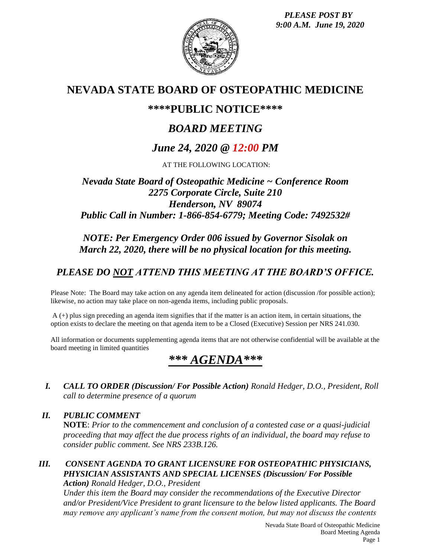*PLEASE POST BY 9:00 A.M. June 19, 2020*



## **NEVADA STATE BOARD OF OSTEOPATHIC MEDICINE**

## **\*\*\*\*PUBLIC NOTICE\*\*\*\***

# *BOARD MEETING*

# *June 24, 2020 @ 12:00 PM*

AT THE FOLLOWING LOCATION:

## *Nevada State Board of Osteopathic Medicine ~ Conference Room 2275 Corporate Circle, Suite 210 Henderson, NV 89074 Public Call in Number: 1-866-854-6779; Meeting Code: 7492532#*

## *NOTE: Per Emergency Order 006 issued by Governor Sisolak on March 22, 2020, there will be no physical location for this meeting.*

# *PLEASE DO NOT ATTEND THIS MEETING AT THE BOARD'S OFFICE.*

Please Note: The Board may take action on any agenda item delineated for action (discussion /for possible action); likewise, no action may take place on non-agenda items, including public proposals.

A (+) plus sign preceding an agenda item signifies that if the matter is an action item, in certain situations, the option exists to declare the meeting on that agenda item to be a Closed (Executive) Session per NRS 241.030.

All information or documents supplementing agenda items that are not otherwise confidential will be available at the board meeting in limited quantities

# *\*\*\* AGENDA\*\*\**

*I. CALL TO ORDER (Discussion/ For Possible Action) Ronald Hedger, D.O., President, Roll call to determine presence of a quorum*

## *II. PUBLIC COMMENT* **NOTE**: *Prior to the commencement and conclusion of a contested case or a quasi-judicial proceeding that may affect the due process rights of an individual, the board may refuse to consider public comment. See NRS 233B.126.*

### *III. CONSENT AGENDA TO GRANT LICENSURE FOR OSTEOPATHIC PHYSICIANS, PHYSICIAN ASSISTANTS AND SPECIAL LICENSES (Discussion/ For Possible Action) Ronald Hedger, D.O., President*

*Under this item the Board may consider the recommendations of the Executive Director and/or President/Vice President to grant licensure to the below listed applicants. The Board may remove any applicant's name from the consent motion, but may not discuss the contents*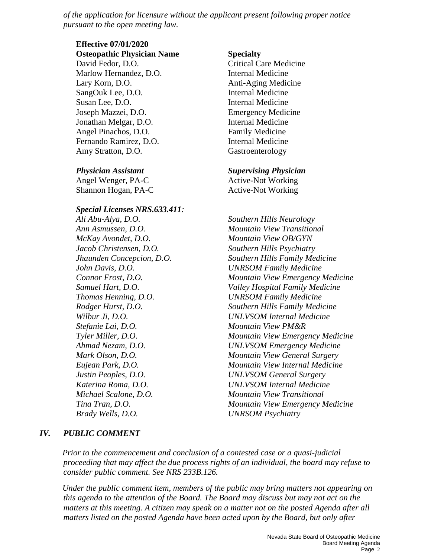*of the application for licensure without the applicant present following proper notice pursuant to the open meeting law.*

## **Effective 07/01/2020**

**Osteopathic Physician Name Specialty** David Fedor, D.O. Critical Care Medicine Marlow Hernandez, D.O. Internal Medicine Lary Korn, D.O. **Anti-Aging Medicine** SangOuk Lee, D.O. Internal Medicine Susan Lee, D.O. Internal Medicine Joseph Mazzei, D.O. Emergency Medicine Jonathan Melgar, D.O. Internal Medicine Angel Pinachos, D.O. Family Medicine Fernando Ramirez, D.O. **Internal Medicine** Amy Stratton, D.O. **Gastroenterology** 

Angel Wenger, PA-C Active-Not Working Shannon Hogan, PA-C Active-Not Working

#### *Special Licenses NRS.633.411:*

*Ali Abu-Alya, D.O. Southern Hills Neurology McKay Avondet, D.O. Mountain View OB/GYN Jacob Christensen, D.O. Southern Hills Psychiatry Stefanie Lai, D.O. Mountain View PM&R Brady Wells, D.O. UNRSOM Psychiatry*

### *Physician Assistant Supervising Physician*

*Ann Asmussen, D.O. Mountain View Transitional Jhaunden Concepcion, D.O. Southern Hills Family Medicine John Davis, D.O. UNRSOM Family Medicine Connor Frost, D.O. Mountain View Emergency Medicine Samuel Hart, D.O. Valley Hospital Family Medicine Thomas Henning, D.O. UNRSOM Family Medicine Rodger Hurst, D.O. Southern Hills Family Medicine Wilbur Ji, D.O. UNLVSOM Internal Medicine Tyler Miller, D.O. Mountain View Emergency Medicine Ahmad Nezam, D.O. UNLVSOM Emergency Medicine Mark Olson, D.O. Mountain View General Surgery Eujean Park, D.O. Mountain View Internal Medicine Justin Peoples, D.O. UNLVSOM General Surgery Katerina Roma, D.O. UNLVSOM Internal Medicine Michael Scalone, D.O. Mountain View Transitional Tina Tran, D.O. Mountain View Emergency Medicine*

### *IV. PUBLIC COMMENT*

*Prior to the commencement and conclusion of a contested case or a quasi-judicial proceeding that may affect the due process rights of an individual, the board may refuse to consider public comment. See NRS 233B.126.*

*Under the public comment item, members of the public may bring matters not appearing on this agenda to the attention of the Board. The Board may discuss but may not act on the matters at this meeting. A citizen may speak on a matter not on the posted Agenda after all matters listed on the posted Agenda have been acted upon by the Board, but only after*